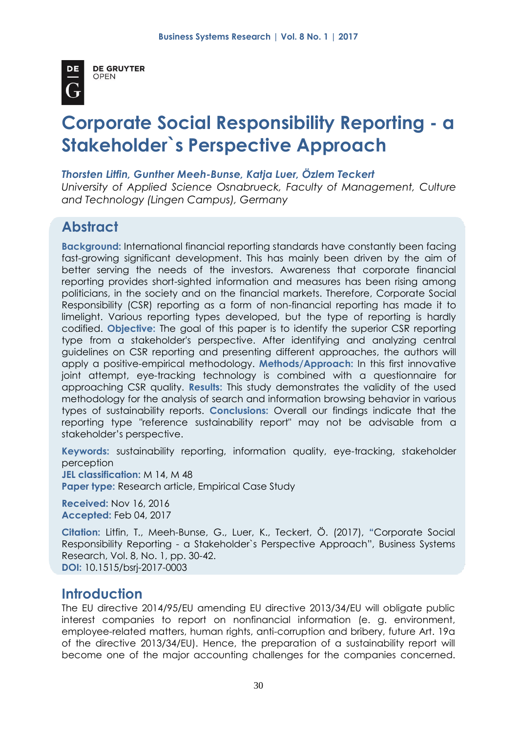

**DE GRUYTER OPEN** 

# **Corporate Social Responsibility Reporting - a Stakeholder`s Perspective Approach**

#### *Thorsten Litfin, Gunther Meeh-Bunse, Katja Luer, Özlem Teckert*

*University of Applied Science Osnabrueck, Faculty of Management, Culture and Technology (Lingen Campus), Germany*

# **Abstract**

**Background:** International financial reporting standards have constantly been facing fast-growing significant development. This has mainly been driven by the aim of better serving the needs of the investors. Awareness that corporate financial reporting provides short-sighted information and measures has been rising among politicians, in the society and on the financial markets. Therefore, Corporate Social Responsibility (CSR) reporting as a form of non-financial reporting has made it to limelight. Various reporting types developed, but the type of reporting is hardly codified. **Objective:** The goal of this paper is to identify the superior CSR reporting type from a stakeholder's perspective. After identifying and analyzing central guidelines on CSR reporting and presenting different approaches, the authors will apply a positive-empirical methodology. **Methods/Approach:** In this first innovative joint attempt, eye-tracking technology is combined with a questionnaire for approaching CSR quality. **Results:** This study demonstrates the validity of the used methodology for the analysis of search and information browsing behavior in various types of sustainability reports. **Conclusions:** Overall our findings indicate that the reporting type "reference sustainability report" may not be advisable from a stakeholder's perspective.

**Keywords:** sustainability reporting, information quality, eye-tracking, stakeholder perception **JEL classification:** M 14, M 48

**Paper type:** Research article, Empirical Case Study

**Received:** Nov 16, 2016 **Accepted:** Feb 04, 2017

**Citation:** Litfin, T., Meeh-Bunse, G., Luer, K., Teckert, Ö. (2017), **"**Corporate Social Responsibility Reporting - a Stakeholder`s Perspective Approach", Business Systems Research, Vol. 8, No. 1, pp. 30-42. **DOI:** 10.1515/bsrj-2017-0003

### **Introduction**

The EU directive 2014/95/EU amending EU directive 2013/34/EU will obligate public interest companies to report on nonfinancial information (e. g. environment, employee-related matters, human rights, anti-corruption and bribery, future Art. 19a of the directive 2013/34/EU). Hence, the preparation of a sustainability report will become one of the major accounting challenges for the companies concerned.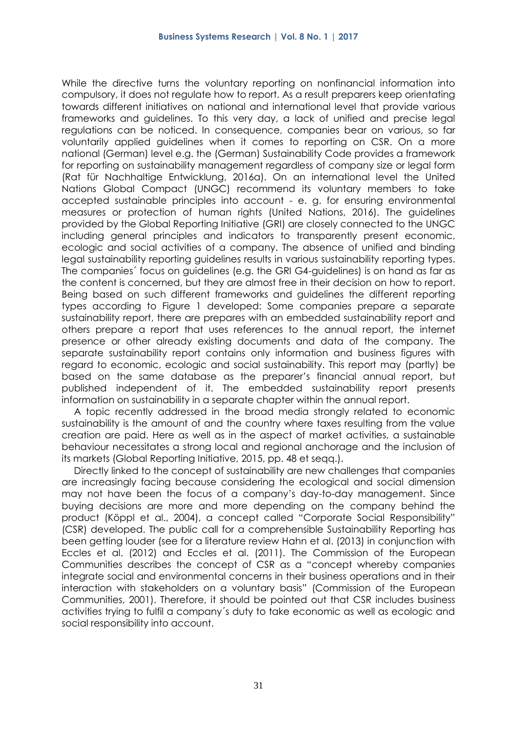While the directive turns the voluntary reporting on nonfinancial information into compulsory, it does not regulate how to report. As a result preparers keep orientating towards different initiatives on national and international level that provide various frameworks and guidelines. To this very day, a lack of unified and precise legal regulations can be noticed. In consequence, companies bear on various, so far voluntarily applied guidelines when it comes to reporting on CSR. On a more national (German) level e.g. the (German) Sustainability Code provides a framework for reporting on sustainability management regardless of company size or legal form (Rat für Nachhaltige Entwicklung, 2016a). On an international level the United Nations Global Compact (UNGC) recommend its voluntary members to take accepted sustainable principles into account - e. g. for ensuring environmental measures or protection of human rights (United Nations, 2016). The guidelines provided by the Global Reporting Initiative (GRI) are closely connected to the UNGC including general principles and indicators to transparently present economic, ecologic and social activities of a company. The absence of unified and binding legal sustainability reporting guidelines results in various sustainability reporting types. The companies´ focus on guidelines (e.g. the GRI G4-guidelines) is on hand as far as the content is concerned, but they are almost free in their decision on how to report. Being based on such different frameworks and guidelines the different reporting types according to Figure 1 developed: Some companies prepare a separate sustainability report, there are prepares with an embedded sustainability report and others prepare a report that uses references to the annual report, the internet presence or other already existing documents and data of the company. The separate sustainability report contains only information and business figures with regard to economic, ecologic and social sustainability. This report may (partly) be based on the same database as the preparer's financial annual report, but published independent of it. The embedded sustainability report presents information on sustainability in a separate chapter within the annual report.

A topic recently addressed in the broad media strongly related to economic sustainability is the amount of and the country where taxes resulting from the value creation are paid. Here as well as in the aspect of market activities, a sustainable behaviour necessitates a strong local and regional anchorage and the inclusion of its markets (Global Reporting Initiative, 2015, pp. 48 et seqq.).

Directly linked to the concept of sustainability are new challenges that companies are increasingly facing because considering the ecological and social dimension may not have been the focus of a company's day-to-day management. Since buying decisions are more and more depending on the company behind the product (Köppl et al., 2004), a concept called "Corporate Social Responsibility" (CSR) developed. The public call for a comprehensible Sustainability Reporting has been getting louder (see for a literature review Hahn et al. (2013) in conjunction with Eccles et al. (2012) and Eccles et al. (2011). The Commission of the European Communities describes the concept of CSR as a "concept whereby companies integrate social and environmental concerns in their business operations and in their interaction with stakeholders on a voluntary basis" (Commission of the European Communities, 2001). Therefore, it should be pointed out that CSR includes business activities trying to fulfil a company´s duty to take economic as well as ecologic and social responsibility into account.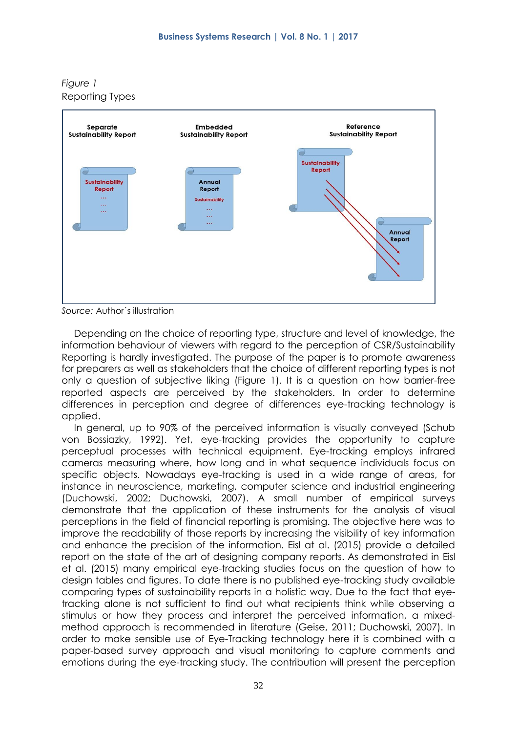



*Source:* Author´s illustration

Depending on the choice of reporting type, structure and level of knowledge, the information behaviour of viewers with regard to the perception of CSR/Sustainability Reporting is hardly investigated. The purpose of the paper is to promote awareness for preparers as well as stakeholders that the choice of different reporting types is not only a question of subjective liking (Figure 1). It is a question on how barrier-free reported aspects are perceived by the stakeholders. In order to determine differences in perception and degree of differences eye-tracking technology is applied.

In general, up to 90% of the perceived information is visually conveyed (Schub von Bossiazky, 1992). Yet, eye-tracking provides the opportunity to capture perceptual processes with technical equipment. Eye-tracking employs infrared cameras measuring where, how long and in what sequence individuals focus on specific objects. Nowadays eye-tracking is used in a wide range of areas, for instance in neuroscience, marketing, computer science and industrial engineering (Duchowski, 2002; Duchowski, 2007). A small number of empirical surveys demonstrate that the application of these instruments for the analysis of visual perceptions in the field of financial reporting is promising. The objective here was to improve the readability of those reports by increasing the visibility of key information and enhance the precision of the information. Eisl at al. (2015) provide a detailed report on the state of the art of designing company reports. As demonstrated in Eisl et al. (2015) many empirical eye-tracking studies focus on the question of how to design tables and figures. To date there is no published eye-tracking study available comparing types of sustainability reports in a holistic way. Due to the fact that eyetracking alone is not sufficient to find out what recipients think while observing a stimulus or how they process and interpret the perceived information, a mixedmethod approach is recommended in literature (Geise, 2011; Duchowski, 2007). In order to make sensible use of Eye-Tracking technology here it is combined with a paper-based survey approach and visual monitoring to capture comments and emotions during the eye-tracking study. The contribution will present the perception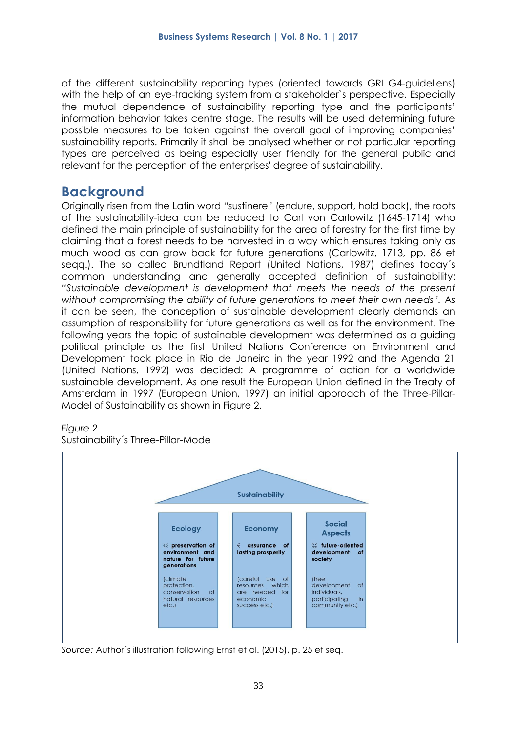of the different sustainability reporting types (oriented towards GRI G4-guideliens) with the help of an eye-tracking system from a stakeholder`s perspective. Especially the mutual dependence of sustainability reporting type and the participants' information behavior takes centre stage. The results will be used determining future possible measures to be taken against the overall goal of improving companies' sustainability reports. Primarily it shall be analysed whether or not particular reporting types are perceived as being especially user friendly for the general public and relevant for the perception of the enterprises' degree of sustainability.

# **Background**

Originally risen from the Latin word "sustinere" (endure, support, hold back), the roots of the sustainability-idea can be reduced to Carl von Carlowitz (1645-1714) who defined the main principle of sustainability for the area of forestry for the first time by claiming that a forest needs to be harvested in a way which ensures taking only as much wood as can grow back for future generations (Carlowitz, 1713, pp. 86 et seqq.). The so called Brundtland Report (United Nations, 1987) defines today´s common understanding and generally accepted definition of sustainability: *"Sustainable development is development that meets the needs of the present without compromising the ability of future generations to meet their own needs".* As it can be seen, the conception of sustainable development clearly demands an assumption of responsibility for future generations as well as for the environment. The following years the topic of sustainable development was determined as a guiding political principle as the first United Nations Conference on Environment and Development took place in Rio de Janeiro in the year 1992 and the Agenda 21 (United Nations, 1992) was decided: A programme of action for a worldwide sustainable development. As one result the European Union defined in the Treaty of Amsterdam in 1997 (European Union, 1997) an initial approach of the Three-Pillar-Model of Sustainability as shown in Figure 2.

#### *Figure 2*



Sustainability´s Three-Pillar-Mode

*Source:* Author´s illustration following Ernst et al. (2015), p. 25 et seq.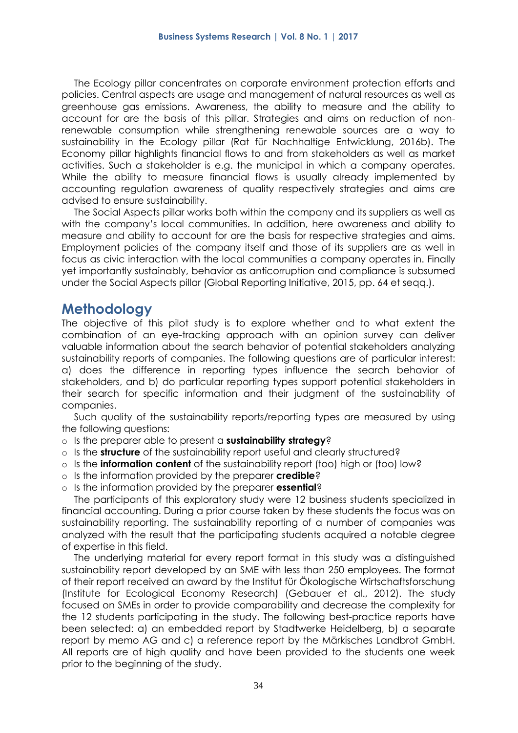The Ecology pillar concentrates on corporate environment protection efforts and policies. Central aspects are usage and management of natural resources as well as greenhouse gas emissions. Awareness, the ability to measure and the ability to account for are the basis of this pillar. Strategies and aims on reduction of nonrenewable consumption while strengthening renewable sources are a way to sustainability in the Ecology pillar (Rat für Nachhaltige Entwicklung, 2016b). The Economy pillar highlights financial flows to and from stakeholders as well as market activities. Such a stakeholder is e.g. the municipal in which a company operates. While the ability to measure financial flows is usually already implemented by accounting regulation awareness of quality respectively strategies and aims are advised to ensure sustainability.

The Social Aspects pillar works both within the company and its suppliers as well as with the company's local communities. In addition, here awareness and ability to measure and ability to account for are the basis for respective strategies and aims. Employment policies of the company itself and those of its suppliers are as well in focus as civic interaction with the local communities a company operates in. Finally yet importantly sustainably, behavior as anticorruption and compliance is subsumed under the Social Aspects pillar (Global Reporting Initiative, 2015, pp. 64 et seqq.).

### **Methodology**

The objective of this pilot study is to explore whether and to what extent the combination of an eye-tracking approach with an opinion survey can deliver valuable information about the search behavior of potential stakeholders analyzing sustainability reports of companies. The following questions are of particular interest: a) does the difference in reporting types influence the search behavior of stakeholders, and b) do particular reporting types support potential stakeholders in their search for specific information and their judgment of the sustainability of companies.

Such quality of the sustainability reports/reporting types are measured by using the following questions:

- o Is the preparer able to present a **sustainability strategy**?
- o Is the **structure** of the sustainability report useful and clearly structured?
- o Is the **information content** of the sustainability report (too) high or (too) low?
- o Is the information provided by the preparer **credible**?
- o Is the information provided by the preparer **essential**?

The participants of this exploratory study were 12 business students specialized in financial accounting. During a prior course taken by these students the focus was on sustainability reporting. The sustainability reporting of a number of companies was analyzed with the result that the participating students acquired a notable degree of expertise in this field.

The underlying material for every report format in this study was a distinguished sustainability report developed by an SME with less than 250 employees. The format of their report received an award by the Institut für Ökologische Wirtschaftsforschung (Institute for Ecological Economy Research) (Gebauer et al., 2012). The study focused on SMEs in order to provide comparability and decrease the complexity for the 12 students participating in the study. The following best-practice reports have been selected: a) an embedded report by Stadtwerke Heidelberg, b) a separate report by memo AG and c) a reference report by the Märkisches Landbrot GmbH. All reports are of high quality and have been provided to the students one week prior to the beginning of the study.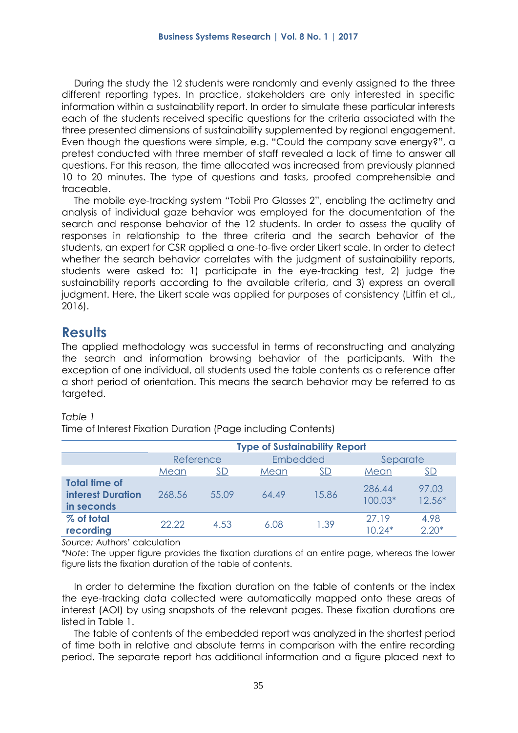During the study the 12 students were randomly and evenly assigned to the three different reporting types. In practice, stakeholders are only interested in specific information within a sustainability report. In order to simulate these particular interests each of the students received specific questions for the criteria associated with the three presented dimensions of sustainability supplemented by regional engagement. Even though the questions were simple, e.g. "Could the company save energy?", a pretest conducted with three member of staff revealed a lack of time to answer all questions. For this reason, the time allocated was increased from previously planned 10 to 20 minutes. The type of questions and tasks, proofed comprehensible and traceable.

The mobile eye-tracking system "Tobii Pro Glasses 2", enabling the actimetry and analysis of individual gaze behavior was employed for the documentation of the search and response behavior of the 12 students. In order to assess the quality of responses in relationship to the three criteria and the search behavior of the students, an expert for CSR applied a one-to-five order Likert scale. In order to detect whether the search behavior correlates with the judgment of sustainability reports, students were asked to: 1) participate in the eye-tracking test, 2) judge the sustainability reports according to the available criteria, and 3) express an overall judgment. Here, the Likert scale was applied for purposes of consistency (Litfin et al., 2016).

### **Results**

The applied methodology was successful in terms of reconstructing and analyzing the search and information browsing behavior of the participants. With the exception of one individual, all students used the table contents as a reference after a short period of orientation. This means the search behavior may be referred to as targeted.

#### *Table 1*

Time of Interest Fixation Duration (Page including Contents)

|                                                                | <b>Type of Sustainability Report</b> |           |                 |       |                     |                   |  |
|----------------------------------------------------------------|--------------------------------------|-----------|-----------------|-------|---------------------|-------------------|--|
|                                                                | Reference                            |           | <b>Embedded</b> |       | Separate            |                   |  |
|                                                                | Mean                                 | <b>SD</b> | Mean            | SD    | Mean                | <u>SD</u>         |  |
| <b>Total time of</b><br><b>interest Duration</b><br>in seconds | 268.56                               | 55.09     | 64.49           | 15.86 | 286.44<br>$100.03*$ | 97.03<br>$12.56*$ |  |
| % of total<br>recording                                        | 22.22                                | 4.53      | 6.08            | 1.39  | 27.19<br>$10.24*$   | 4.98<br>$2.20*$   |  |

*Source:* Authors' calculation

\**Note*: The upper figure provides the fixation durations of an entire page, whereas the lower figure lists the fixation duration of the table of contents.

In order to determine the fixation duration on the table of contents or the index the eye-tracking data collected were automatically mapped onto these areas of interest (AOI) by using snapshots of the relevant pages. These fixation durations are listed in Table 1.

The table of contents of the embedded report was analyzed in the shortest period of time both in relative and absolute terms in comparison with the entire recording period. The separate report has additional information and a figure placed next to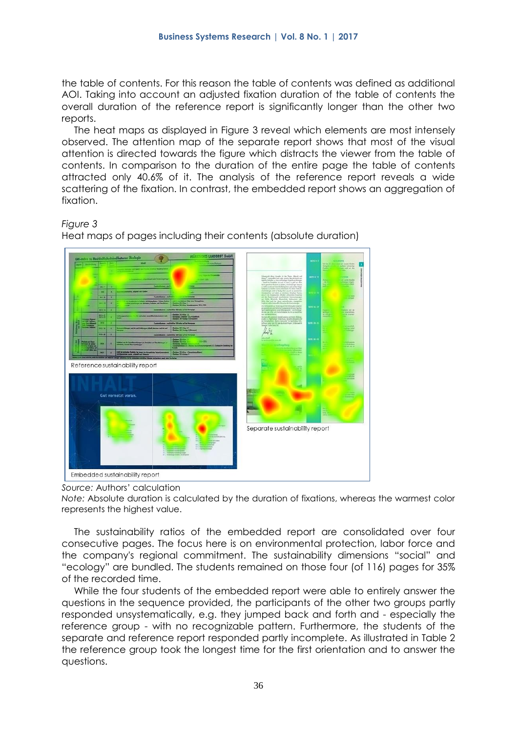the table of contents. For this reason the table of contents was defined as additional AOI. Taking into account an adjusted fixation duration of the table of contents the overall duration of the reference report is significantly longer than the other two reports.

The heat maps as displayed in Figure 3 reveal which elements are most intensely observed. The attention map of the separate report shows that most of the visual attention is directed towards the figure which distracts the viewer from the table of contents. In comparison to the duration of the entire page the table of contents attracted only 40.6% of it. The analysis of the reference report reveals a wide scattering of the fixation. In contrast, the embedded report shows an aggregation of fixation.

#### *Figure 3*



Heat maps of pages including their contents (absolute duration)

*Source:* Authors' calculation

*Note:* Absolute duration is calculated by the duration of fixations, whereas the warmest color represents the highest value.

The sustainability ratios of the embedded report are consolidated over four consecutive pages. The focus here is on environmental protection, labor force and the company's regional commitment. The sustainability dimensions "social" and "ecology" are bundled. The students remained on those four (of 116) pages for 35% of the recorded time.

While the four students of the embedded report were able to entirely answer the questions in the sequence provided, the participants of the other two groups partly responded unsystematically, e.g. they jumped back and forth and - especially the reference group - with no recognizable pattern. Furthermore, the students of the separate and reference report responded partly incomplete. As illustrated in Table 2 the reference group took the longest time for the first orientation and to answer the questions.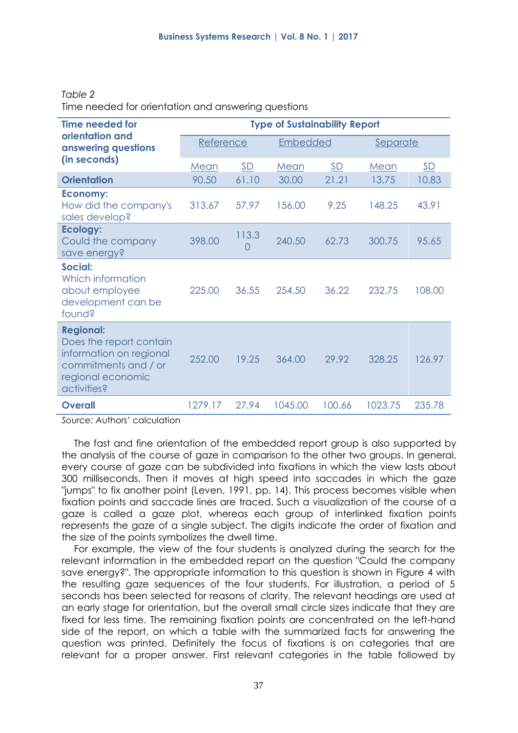#### *Table 2*

Time needed for orientation and answering questions

| Time needed for                                                                                                                    | <b>Type of Sustainability Report</b> |                           |                 |           |          |           |  |  |
|------------------------------------------------------------------------------------------------------------------------------------|--------------------------------------|---------------------------|-----------------|-----------|----------|-----------|--|--|
| orientation and<br>answering questions                                                                                             | Reference                            |                           | <b>Embedded</b> |           | Separate |           |  |  |
| (in seconds)                                                                                                                       | Mean                                 | <b>SD</b>                 | Mean            | <b>SD</b> | Mean     | <u>SD</u> |  |  |
| <b>Orientation</b>                                                                                                                 | 90.50                                | 61.10                     | 30.00           | 21.21     | 13.75    | 10.83     |  |  |
| <b>Economy:</b><br>How did the company's<br>sales develop?                                                                         | 313.67                               | 57.97                     | 156.00          | 9.25      | 148.25   | 43.91     |  |  |
| <b>Ecology:</b><br>Could the company<br>save energy?                                                                               | 398.00                               | 113.3<br>$\left( \right)$ | 240.50          | 62.73     | 300.75   | 95.65     |  |  |
| Social:<br>Which information<br>about employee<br>development can be<br>found?                                                     | 225.00                               | 36.55                     | 254.50          | 36.22     | 232.75   | 108.00    |  |  |
| <b>Regional:</b><br>Does the report contain<br>information on regional<br>commitments and / or<br>regional economic<br>activities? | 252.00                               | 19.25                     | 364.00          | 29.92     | 328.25   | 126.97    |  |  |
| <b>Overall</b>                                                                                                                     | 1279.17                              | 27.94                     | 1045.00         | 100.66    | 1023.75  | 235.78    |  |  |

*Source: A*uthors' calculation

The fast and fine orientation of the embedded report group is also supported by the analysis of the course of gaze in comparison to the other two groups. In general, every course of gaze can be subdivided into fixations in which the view lasts about 300 milliseconds. Then it moves at high speed into saccades in which the gaze "jumps" to fix another point (Leven, 1991, pp. 14). This process becomes visible when fixation points and saccade lines are traced. Such a visualization of the course of a gaze is called a gaze plot, whereas each group of interlinked fixation points represents the gaze of a single subject. The digits indicate the order of fixation and the size of the points symbolizes the dwell time.

For example, the view of the four students is analyzed during the search for the relevant information in the embedded report on the question "Could the company save energy?". The appropriate information to this question is shown in Figure 4 with the resulting gaze sequences of the four students. For illustration, a period of 5 seconds has been selected for reasons of clarity. The relevant headings are used at an early stage for orientation, but the overall small circle sizes indicate that they are fixed for less time. The remaining fixation points are concentrated on the left-hand side of the report, on which a table with the summarized facts for answering the question was printed. Definitely the focus of fixations is on categories that are relevant for a proper answer. First relevant categories in the table followed by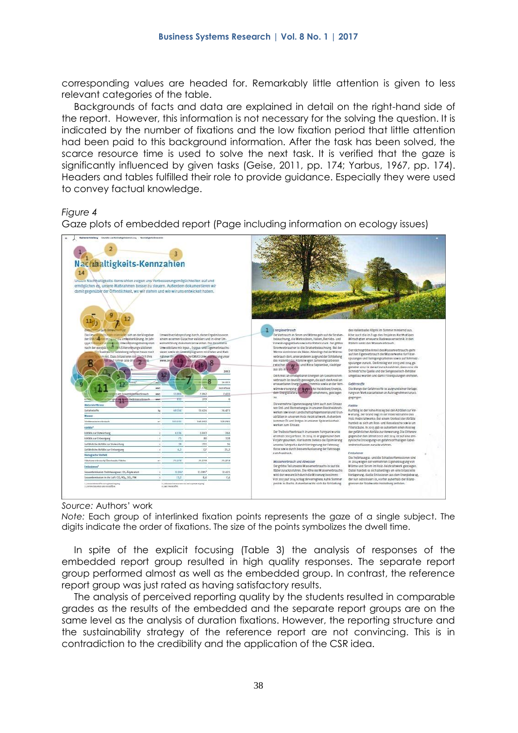corresponding values are headed for. Remarkably little attention is given to less relevant categories of the table.

Backgrounds of facts and data are explained in detail on the right-hand side of the report. However, this information is not necessary for the solving the question. It is indicated by the number of fixations and the low fixation period that little attention had been paid to this background information. After the task has been solved, the scarce resource time is used to solve the next task. It is verified that the gaze is significantly influenced by given tasks (Geise, 2011, pp. 174; Yarbus, 1967, pp. 174). Headers and tables fulfilled their role to provide guidance. Especially they were used to convey factual knowledge.

#### *Figure 4*

Gaze plots of embedded report (Page including information on ecology issues)



*Source:* Authors' work

*Note:* Each group of interlinked fixation points represents the gaze of a single subject. The digits indicate the order of fixations. The size of the points symbolizes the dwell time.

In spite of the explicit focusing (Table 3) the analysis of responses of the embedded report group resulted in high quality responses. The separate report group performed almost as well as the embedded group. In contrast, the reference report group was just rated as having satisfactory results.

The analysis of perceived reporting quality by the students resulted in comparable grades as the results of the embedded and the separate report groups are on the same level as the analysis of duration fixations. However, the reporting structure and the sustainability strategy of the reference report are not convincing. This is in contradiction to the credibility and the application of the CSR idea.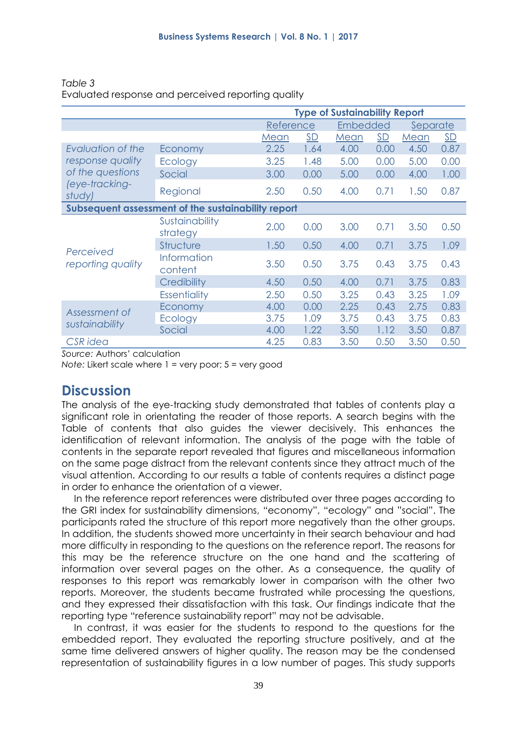|                                                                                       |                               | <b>Type of Sustainability Report</b> |           |                 |           |          |      |
|---------------------------------------------------------------------------------------|-------------------------------|--------------------------------------|-----------|-----------------|-----------|----------|------|
|                                                                                       |                               | Reference                            |           | <b>Embedded</b> |           | Separate |      |
|                                                                                       |                               | Mean                                 | <u>SD</u> | Mean            | <b>SD</b> | Mean     | SD   |
| Evaluation of the<br>response quality<br>of the questions<br>(eye-tracking-<br>study) | Economy                       | 2.25                                 | 1.64      | 4.00            | 0.00      | 4.50     | 0.87 |
|                                                                                       | Ecology                       | 3.25                                 | 1.48      | 5.00            | 0.00      | 5.00     | 0.00 |
|                                                                                       | Social                        | 3.00                                 | 0.00      | 5.00            | 0.00      | 4.00     | 1.00 |
|                                                                                       | Regional                      | 2.50                                 | 0.50      | 4.00            | 0.71      | 1.50     | 0.87 |
| Subsequent assessment of the sustainability report                                    |                               |                                      |           |                 |           |          |      |
| Perceived<br>reporting quality                                                        | Sustainability<br>strategy    | 2.00                                 | 0.00      | 3.00            | 0.71      | 3.50     | 0.50 |
|                                                                                       | Structure                     | 1.50                                 | 0.50      | 4.00            | 0.71      | 3.75     | 1.09 |
|                                                                                       | <b>Information</b><br>content | 3.50                                 | 0.50      | 3.75            | 0.43      | 3.75     | 0.43 |
|                                                                                       | Credibility                   | 4.50                                 | 0.50      | 4.00            | 0.71      | 3.75     | 0.83 |
|                                                                                       | <b>Essentiality</b>           | 2.50                                 | 0.50      | 3.25            | 0.43      | 3.25     | 1.09 |
| Assessment of<br>sustainability                                                       | Economy                       | 4.00                                 | 0.00      | 2.25            | 0.43      | 2.75     | 0.83 |
|                                                                                       | Ecology                       | 3.75                                 | 1.09      | 3.75            | 0.43      | 3.75     | 0.83 |
|                                                                                       | Social                        | 4.00                                 | 1.22      | 3.50            | 1.12      | 3.50     | 0.87 |
| CSR idea                                                                              |                               | 4.25                                 | 0.83      | 3.50            | 0.50      | 3.50     | 0.50 |

#### *Table 3* Evaluated response and perceived reporting quality

*Source:* Authors' calculation

*Note:* Likert scale where 1 = very poor; 5 = very good

# **Discussion**

The analysis of the eye-tracking study demonstrated that tables of contents play a significant role in orientating the reader of those reports. A search begins with the Table of contents that also guides the viewer decisively. This enhances the identification of relevant information. The analysis of the page with the table of contents in the separate report revealed that figures and miscellaneous information on the same page distract from the relevant contents since they attract much of the visual attention. According to our results a table of contents requires a distinct page in order to enhance the orientation of a viewer.

In the reference report references were distributed over three pages according to the GRI index for sustainability dimensions, "economy", "ecology" and "social". The participants rated the structure of this report more negatively than the other groups. In addition, the students showed more uncertainty in their search behaviour and had more difficulty in responding to the questions on the reference report. The reasons for this may be the reference structure on the one hand and the scattering of information over several pages on the other. As a consequence, the quality of responses to this report was remarkably lower in comparison with the other two reports. Moreover, the students became frustrated while processing the questions, and they expressed their dissatisfaction with this task. Our findings indicate that the reporting type "reference sustainability report" may not be advisable.

In contrast, it was easier for the students to respond to the questions for the embedded report. They evaluated the reporting structure positively, and at the same time delivered answers of higher quality. The reason may be the condensed representation of sustainability figures in a low number of pages. This study supports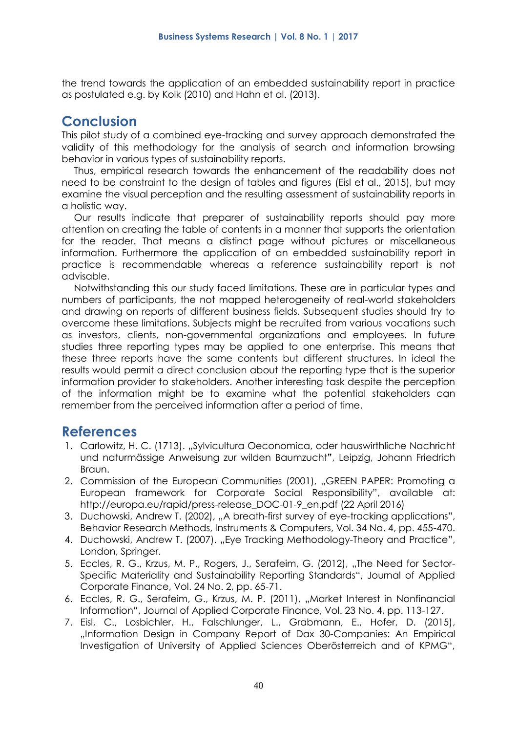the trend towards the application of an embedded sustainability report in practice as postulated e.g. by Kolk (2010) and Hahn et al. (2013).

### **Conclusion**

This pilot study of a combined eye-tracking and survey approach demonstrated the validity of this methodology for the analysis of search and information browsing behavior in various types of sustainability reports.

Thus, empirical research towards the enhancement of the readability does not need to be constraint to the design of tables and figures (Eisl et al., 2015), but may examine the visual perception and the resulting assessment of sustainability reports in a holistic way.

Our results indicate that preparer of sustainability reports should pay more attention on creating the table of contents in a manner that supports the orientation for the reader. That means a distinct page without pictures or miscellaneous information. Furthermore the application of an embedded sustainability report in practice is recommendable whereas a reference sustainability report is not advisable.

Notwithstanding this our study faced limitations. These are in particular types and numbers of participants, the not mapped heterogeneity of real-world stakeholders and drawing on reports of different business fields. Subsequent studies should try to overcome these limitations. Subjects might be recruited from various vocations such as investors, clients, non-governmental organizations and employees. In future studies three reporting types may be applied to one enterprise. This means that these three reports have the same contents but different structures. In ideal the results would permit a direct conclusion about the reporting type that is the superior information provider to stakeholders. Another interesting task despite the perception of the information might be to examine what the potential stakeholders can remember from the perceived information after a period of time.

# **References**

- 1. Carlowitz, H. C. (1713). "Sylvicultura Oeconomica, oder hauswirthliche Nachricht und naturmässige Anweisung zur wilden Baumzucht**"**, Leipzig, Johann Friedrich Braun.
- 2. Commission of the European Communities (2001), "GREEN PAPER: Promoting a European framework for Corporate Social Responsibility", available at: http://europa.eu/rapid/press-release\_DOC-01-9\_en.pdf (22 April 2016)
- 3. Duchowski, Andrew T. (2002), "A breath-first survey of eye-tracking applications", Behavior Research Methods, Instruments & Computers, Vol. 34 No. 4, pp. 455-470.
- 4. Duchowski, Andrew T. (2007). "Eye Tracking Methodology-Theory and Practice", London, Springer.
- 5. Eccles, R. G., Krzus, M. P., Rogers, J., Serafeim, G. (2012), "The Need for Sector-Specific Materiality and Sustainability Reporting Standards", Journal of Applied Corporate Finance, Vol. 24 No. 2, pp. 65-71.
- 6. Eccles, R. G., Serafeim, G., Krzus, M. P. (2011), "Market Interest in Nonfinancial Information", Journal of Applied Corporate Finance, Vol. 23 No. 4, pp. 113-127.
- 7. Eisl, C., Losbichler, H., Falschlunger, L., Grabmann, E., Hofer, D. (2015), "Information Design in Company Report of Dax 30-Companies: An Empirical Investigation of University of Applied Sciences Oberösterreich and of KPMG",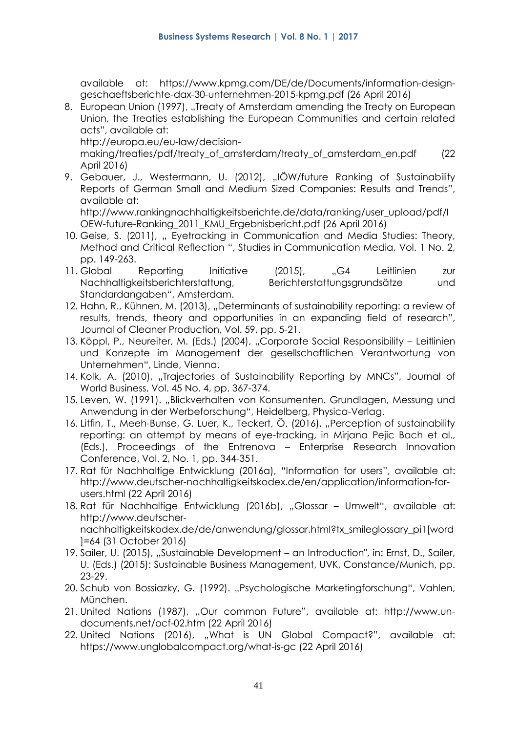available at: https://www.kpmg.com/DE/de/Documents/information-designgeschaeftsberichte-dax-30-unternehmen-2015-kpmg.pdf (26 April 2016)

8. European Union (1997), "Treaty of Amsterdam amending the Treaty on European Union, the Treaties establishing the European Communities and certain related acts", available at:

http://europa.eu/eu-law/decision-

making/treaties/pdf/treaty\_of\_amsterdam/treaty\_of\_amsterdam\_en.pdf (22 April 2016)

9. Gebauer, J., Westermann, U. (2012), "IÖW/future Ranking of Sustainability Reports of German Small and Medium Sized Companies: Results and Trends", available at: http://www.rankingnachhaltigkeitsberichte.de/data/ranking/user\_upload/pdf/I

OEW-future-Ranking\_2011\_KMU\_Ergebnisbericht.pdf (26 April 2016)

- 10. Geise, S. (2011), ... Evetracking in Communication and Media Studies: Theory, Method and Critical Reflection ", Studies in Communication Media, Vol. 1 No. 2, pp. 149-263.
- 11. Global Reporting Initiative (2015), "G4 Leitlinien zur Nachhaltigkeitsberichterstattung, Berichterstattungsgrundsätze und Standardangaben", Amsterdam.
- 12. Hahn, R., Kühnen, M. (2013), "Determinants of sustainability reporting: a review of results, trends, theory and opportunities in an expanding field of research", Journal of Cleaner Production, Vol. 59, pp. 5-21.
- 13. Köppl, P., Neureiter, M. (Eds.) (2004), "Corporate Social Responsibility Leitlinien und Konzepte im Management der gesellschaftlichen Verantwortung von Unternehmen", Linde, Vienna.
- 14. Kolk, A. (2010), "Trajectories of Sustainability Reporting by MNCs", Journal of World Business, Vol. 45 No. 4, pp. 367-374.
- 15. Leven, W. (1991). "Blickverhalten von Konsumenten. Grundlagen, Messung und Anwendung in der Werbeforschung", Heidelberg, Physica-Verlag.
- 16. Litfin, T., Meeh-Bunse, G. Luer, K., Teckert, Ö. (2016), "Perception of sustainability reporting: an attempt by means of eye-tracking, in Mirjana Pejic Bach et al., (Eds.), Proceedings of the Entrenova – Enterprise Research Innovation Conference, Vol. 2, No. 1, pp. 344-351.
- 17. Rat für Nachhaltige Entwicklung (2016a), "Information for users", available at: http://www.deutscher-nachhaltigkeitskodex.de/en/application/information-forusers.html (22 April 2016)
- 18. Rat für Nachhaltige Entwicklung (2016b), "Glossar Umwelt", available at: [http://www.deutscher](http://www.deutscher-nachhaltigkeitskodex.de/de/anwendung/glossar.html?tx_smileglossary_pi1%5bword%5d=64)[nachhaltigkeitskodex.de/de/anwendung/glossar.html?tx\\_smileglossary\\_pi1\[word](http://www.deutscher-nachhaltigkeitskodex.de/de/anwendung/glossar.html?tx_smileglossary_pi1%5bword%5d=64) [\]=64](http://www.deutscher-nachhaltigkeitskodex.de/de/anwendung/glossar.html?tx_smileglossary_pi1%5bword%5d=64) (31 October 2016)
- 19. Sailer, U. (2015), "Sustainable Development an Introduction", in: Ernst, D., Sailer, U. (Eds.) (2015): Sustainable Business Management, UVK, Constance/Munich, pp. 23-29.
- 20. Schub von Bossiazky, G. (1992). "Psychologische Marketingforschung", Vahlen, München.
- 21. United Nations (1987), "Our common Future", available at: http://www.undocuments.net/ocf-02.htm (22 April 2016)
- 22. United Nations (2016), "What is UN Global Compact?", available at: https://www.unglobalcompact.org/what-is-gc (22 April 2016)